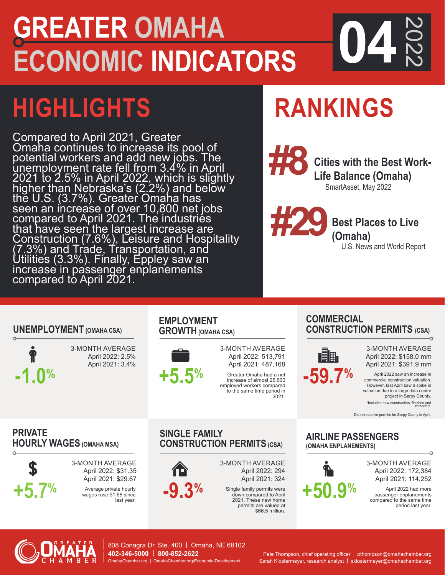## **CONOMIC INDICAT GREATER OMAHA ECONOMIC INDICATORS 04**

# **HIGHLIGHTS**

Compared to April 2021, Greater Omaha continues to increase its pool of potential workers and add new jobs. The unemployment rate fell from 3.4% in April 2021 to 2.5% in April 2022, which is slightly higher than Nebraska's (2.2%) and below thĕ U.S. (3.7%). Greater`Omaha has seen an increase of over 10,800 net jobs compared to April 2021. The industries that have seen the largest increase are Construction (7.6%), Leisure and Hospitality (7.3%) and Trade, Transportation, and Utilities (3.3%). Finally, Eppley saw an increase in passenger enplanements compared to April 2021.

# **RANKINGS**

**Cities with the Best Work-Life Balance (Omaha)** SmartAsset, May 2022 **#8**

2022

**Best Places to Live (Omaha)**

U.S. News and World Report

### **UNEMPLOYMENT (OMAHA CSA)**



3-MONTH AVERAGE April 2022: 2.5% April 2021: 3.4%

#### **EMPLOYMENT GROWTH (OMAHA CSA)**



3-MONTH AVERAGE April 2022: 513,791 April 2021: 487,168

Greater Omaha had a net increase of almost 26,600 employed workers compared to the same time period in 2021.

#### **COMMERCIAL CONSTRUCTION PERMITS (CSA)**  $\Omega$



3-MONTH AVERAGE April 2022: \$158.0 mm April 2021: \$391.9 mm

 **-1.0%** April 2022 saw an increase in commercial construction valuation. However, last April saw a spike in valuation due to a large data center project in Sarpy County.

\*Includes new construction, finishes and remodels. Did not receive permits for Sarpy Couny in April.

**PRIVATE HOURLY WAGES (OMAHA MSA)**



3-MONTH AVERAGE April 2022: \$31.35 April 2021: \$29.67

wages rose \$1.68 since

### **SINGLE FAMILY CONSTRUCTION PERMITS (CSA)**

3-MONTH AVERAGE April 2022: 294 April 2021: 324

Single family permits were down compared to April 2021. These new home permits are valued at \$66.5 million.

#### **AIRLINE PASSENGERS (OMAHA ENPLANEMENTS)**



3-MONTH AVERAGE April 2022: 172,384 April 2021: 114,252

April 2022 had more passenger enplanements compared to the same time period last year.



808 Conagra Dr. Ste. 400 | Omaha, NE 68102 **402-346-5000 | 800-852-2622** OmahaChamber.org | OmahaChamber.org/Economic-Development

Pete Thompson, chief operating officer | pthompson@omahachamber.org Sarah Klostermeyer, research analyst | sklostermeyer@omahachamber.org